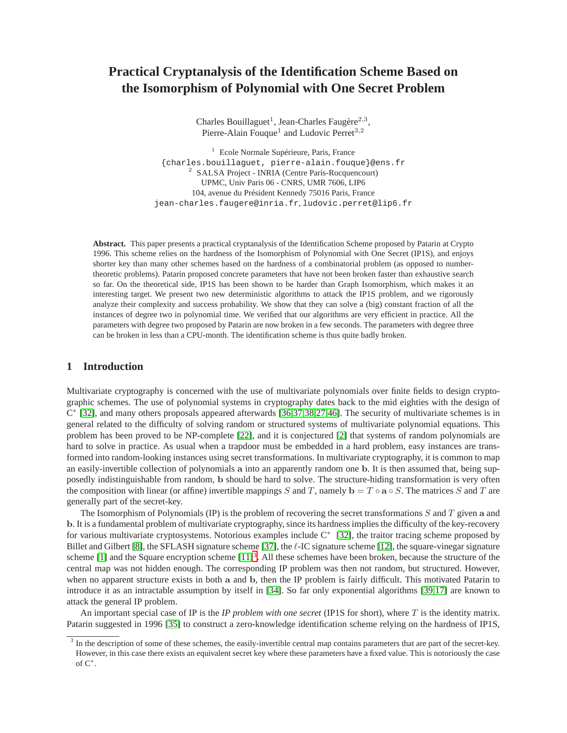# **Practical Cryptanalysis of the Identification Scheme Based on the Isomorphism of Polynomial with One Secret Problem**

Charles Bouillaguet<sup>1</sup>, Jean-Charles Faugère<sup>2,3</sup>, Pierre-Alain Fouque<sup>1</sup> and Ludovic Perret<sup>3,2</sup>

<sup>1</sup> Ecole Normale Supérieure, Paris, France {charles.bouillaguet, pierre-alain.fouque}@ens.fr <sup>2</sup> SALSA Project - INRIA (Centre Paris-Rocquencourt) UPMC, Univ Paris 06 - CNRS, UMR 7606, LIP6 104, avenue du Président Kennedy 75016 Paris, France jean-charles.faugere@inria.fr, ludovic.perret@lip6.fr

**Abstract.** This paper presents a practical cryptanalysis of the Identification Scheme proposed by Patarin at Crypto 1996. This scheme relies on the hardness of the Isomorphism of Polynomial with One Secret (IP1S), and enjoys shorter key than many other schemes based on the hardness of a combinatorial problem (as opposed to numbertheoretic problems). Patarin proposed concrete parameters that have not been broken faster than exhaustive search so far. On the theoretical side, IP1S has been shown to be harder than Graph Isomorphism, which makes it an interesting target. We present two new deterministic algorithms to attack the IP1S problem, and we rigorously analyze their complexity and success probability. We show that they can solve a (big) constant fraction of all the instances of degree two in polynomial time. We verified that our algorithms are very efficient in practice. All the parameters with degree two proposed by Patarin are now broken in a few seconds. The parameters with degree three can be broken in less than a CPU-month. The identification scheme is thus quite badly broken.

# **1 Introduction**

Multivariate cryptography is concerned with the use of multivariate polynomials over finite fields to design cryptographic schemes. The use of polynomial systems in cryptography dates back to the mid eighties with the design of C ∗ [\[32\]](#page-13-0), and many others proposals appeared afterwards [\[36,](#page-13-1)[37,](#page-13-2)[38,](#page-13-3)[27,](#page-13-4)[46\]](#page-14-0). The security of multivariate schemes is in general related to the difficulty of solving random or structured systems of multivariate polynomial equations. This problem has been proved to be NP-complete [\[22\]](#page-13-5), and it is conjectured [\[2\]](#page-12-0) that systems of random polynomials are hard to solve in practice. As usual when a trapdoor must be embedded in a hard problem, easy instances are transformed into random-looking instances using secret transformations. In multivariate cryptography, it is common to map an easily-invertible collection of polynomials a into an apparently random one b. It is then assumed that, being supposedly indistinguishable from random, b should be hard to solve. The structure-hiding transformation is very often the composition with linear (or affine) invertible mappings S and T, namely  $\mathbf{b} = T \circ \mathbf{a} \circ S$ . The matrices S and T are generally part of the secret-key.

The Isomorphism of Polynomials (IP) is the problem of recovering the secret transformations  $S$  and  $T$  given a and b. It is a fundamental problem of multivariate cryptography, since its hardness implies the difficulty of the key-recovery for various multivariate cryptosystems. Notorious examples include C<sup>∗</sup> [\[32\]](#page-13-0), the traitor tracing scheme proposed by Billet and Gilbert [\[8\]](#page-12-1), the SFLASH signature scheme [\[37\]](#page-13-2), the  $\ell$ -IC signature scheme [\[12\]](#page-13-6), the square-vinegar signature scheme [\[1\]](#page-12-2) and the Square encryption scheme  $[11]^3$  $[11]^3$ . All these schemes have been broken, because the structure of the central map was not hidden enough. The corresponding IP problem was then not random, but structured. However, when no apparent structure exists in both a and b, then the IP problem is fairly difficult. This motivated Patarin to introduce it as an intractable assumption by itself in [\[34\]](#page-13-8). So far only exponential algorithms [\[39,](#page-13-9)[17\]](#page-13-10) are known to attack the general IP problem.

An important special case of IP is the *IP problem with one secret* (IP1S for short), where T is the identity matrix. Patarin suggested in 1996 [\[35\]](#page-13-11) to construct a zero-knowledge identification scheme relying on the hardness of IP1S,

<span id="page-0-0"></span> $3$  In the description of some of these schemes, the easily-invertible central map contains parameters that are part of the secret-key. However, in this case there exists an equivalent secret key where these parameters have a fixed value. This is notoriously the case of  $C^*$ .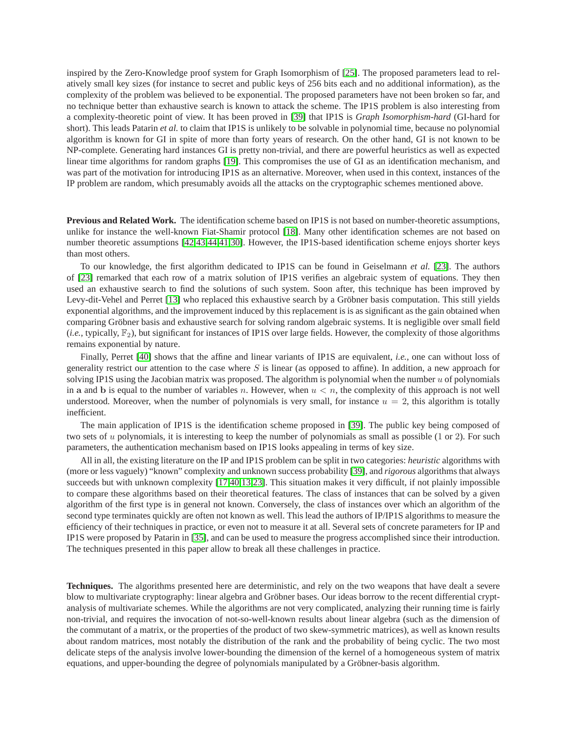inspired by the Zero-Knowledge proof system for Graph Isomorphism of [\[25\]](#page-13-12). The proposed parameters lead to relatively small key sizes (for instance to secret and public keys of 256 bits each and no additional information), as the complexity of the problem was believed to be exponential. The proposed parameters have not been broken so far, and no technique better than exhaustive search is known to attack the scheme. The IP1S problem is also interesting from a complexity-theoretic point of view. It has been proved in [\[39\]](#page-13-9) that IP1S is *Graph Isomorphism-hard* (GI-hard for short). This leads Patarin *et al.* to claim that IP1S is unlikely to be solvable in polynomial time, because no polynomial algorithm is known for GI in spite of more than forty years of research. On the other hand, GI is not known to be NP-complete. Generating hard instances GI is pretty non-trivial, and there are powerful heuristics as well as expected linear time algorithms for random graphs [\[19\]](#page-13-13). This compromises the use of GI as an identification mechanism, and was part of the motivation for introducing IP1S as an alternative. Moreover, when used in this context, instances of the IP problem are random, which presumably avoids all the attacks on the cryptographic schemes mentioned above.

**Previous and Related Work.** The identification scheme based on IP1S is not based on number-theoretic assumptions, unlike for instance the well-known Fiat-Shamir protocol [\[18\]](#page-13-14). Many other identification schemes are not based on number theoretic assumptions [\[42](#page-13-15)[,43](#page-14-1)[,44](#page-14-2)[,41](#page-13-16)[,30\]](#page-13-17). However, the IP1S-based identification scheme enjoys shorter keys than most others.

To our knowledge, the first algorithm dedicated to IP1S can be found in Geiselmann *et al.* [\[23\]](#page-13-18). The authors of [\[23\]](#page-13-18) remarked that each row of a matrix solution of IP1S verifies an algebraic system of equations. They then used an exhaustive search to find the solutions of such system. Soon after, this technique has been improved by Levy-dit-Vehel and Perret [\[13\]](#page-13-19) who replaced this exhaustive search by a Gröbner basis computation. This still yields exponential algorithms, and the improvement induced by this replacement is is as significant as the gain obtained when comparing Gröbner basis and exhaustive search for solving random algebraic systems. It is negligible over small field  $(i.e., typically, \mathbb{F}_2)$ , but significant for instances of IP1S over large fields. However, the complexity of those algorithms remains exponential by nature.

Finally, Perret [\[40\]](#page-13-20) shows that the affine and linear variants of IP1S are equivalent, *i.e.*, one can without loss of generality restrict our attention to the case where  $S$  is linear (as opposed to affine). In addition, a new approach for solving IP1S using the Jacobian matrix was proposed. The algorithm is polynomial when the number  $u$  of polynomials in a and b is equal to the number of variables n. However, when  $u < n$ , the complexity of this approach is not well understood. Moreover, when the number of polynomials is very small, for instance  $u = 2$ , this algorithm is totally inefficient.

The main application of IP1S is the identification scheme proposed in [\[39\]](#page-13-9). The public key being composed of two sets of u polynomials, it is interesting to keep the number of polynomials as small as possible (1 or 2). For such parameters, the authentication mechanism based on IP1S looks appealing in terms of key size.

All in all, the existing literature on the IP and IP1S problem can be split in two categories: *heuristic* algorithms with (more or less vaguely) "known" complexity and unknown success probability [\[39\]](#page-13-9), and *rigorous* algorithms that always succeeds but with unknown complexity [\[17](#page-13-10)[,40](#page-13-20)[,13](#page-13-19)[,23\]](#page-13-18). This situation makes it very difficult, if not plainly impossible to compare these algorithms based on their theoretical features. The class of instances that can be solved by a given algorithm of the first type is in general not known. Conversely, the class of instances over which an algorithm of the second type terminates quickly are often not known as well. This lead the authors of IP/IP1S algorithms to measure the efficiency of their techniques in practice, or even not to measure it at all. Several sets of concrete parameters for IP and IP1S were proposed by Patarin in [\[35\]](#page-13-11), and can be used to measure the progress accomplished since their introduction. The techniques presented in this paper allow to break all these challenges in practice.

**Techniques.** The algorithms presented here are deterministic, and rely on the two weapons that have dealt a severe blow to multivariate cryptography: linear algebra and Gröbner bases. Our ideas borrow to the recent differential cryptanalysis of multivariate schemes. While the algorithms are not very complicated, analyzing their running time is fairly non-trivial, and requires the invocation of not-so-well-known results about linear algebra (such as the dimension of the commutant of a matrix, or the properties of the product of two skew-symmetric matrices), as well as known results about random matrices, most notably the distribution of the rank and the probability of being cyclic. The two most delicate steps of the analysis involve lower-bounding the dimension of the kernel of a homogeneous system of matrix equations, and upper-bounding the degree of polynomials manipulated by a Gröbner-basis algorithm.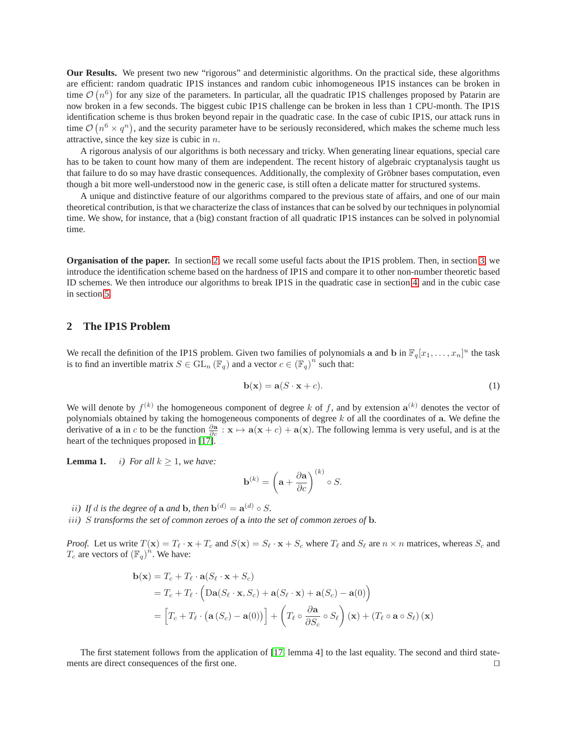**Our Results.** We present two new "rigorous" and deterministic algorithms. On the practical side, these algorithms are efficient: random quadratic IP1S instances and random cubic inhomogeneous IP1S instances can be broken in time  $\mathcal{O}(n^6)$  for any size of the parameters. In particular, all the quadratic IP1S challenges proposed by Patarin are now broken in a few seconds. The biggest cubic IP1S challenge can be broken in less than 1 CPU-month. The IP1S identification scheme is thus broken beyond repair in the quadratic case. In the case of cubic IP1S, our attack runs in time  $\mathcal{O}(n^6 \times q^n)$ , and the security parameter have to be seriously reconsidered, which makes the scheme much less attractive, since the key size is cubic in  $n$ .

A rigorous analysis of our algorithms is both necessary and tricky. When generating linear equations, special care has to be taken to count how many of them are independent. The recent history of algebraic cryptanalysis taught us that failure to do so may have drastic consequences. Additionally, the complexity of Gröbner bases computation, even though a bit more well-understood now in the generic case, is still often a delicate matter for structured systems.

A unique and distinctive feature of our algorithms compared to the previous state of affairs, and one of our main theoretical contribution, is that we characterize the class of instances that can be solved by our techniques in polynomial time. We show, for instance, that a (big) constant fraction of all quadratic IP1S instances can be solved in polynomial time.

**Organisation of the paper.** In section [2,](#page-2-0) we recall some useful facts about the IP1S problem. Then, in section [3,](#page-3-0) we introduce the identification scheme based on the hardness of IP1S and compare it to other non-number theoretic based ID schemes. We then introduce our algorithms to break IP1S in the quadratic case in section [4,](#page-4-0) and in the cubic case in section [5.](#page-9-0)

# <span id="page-2-0"></span>**2 The IP1S Problem**

We recall the definition of the IP1S problem. Given two families of polynomials a and b in  $\mathbb{F}_q[x_1,\ldots,x_n]^u$  the task is to find an invertible matrix  $S \in GL_n(\mathbb{F}_q)$  and a vector  $c \in (\mathbb{F}_q)^n$  such that:

<span id="page-2-2"></span>
$$
\mathbf{b}(\mathbf{x}) = \mathbf{a}(S \cdot \mathbf{x} + c). \tag{1}
$$

We will denote by  $f^{(k)}$  the homogeneous component of degree k of f, and by extension  $a^{(k)}$  denotes the vector of polynomials obtained by taking the homogeneous components of degree  $k$  of all the coordinates of  $a$ . We define the derivative of a in c to be the function  $\frac{\partial a}{\partial c}$ :  $x \mapsto a(x + c) + a(x)$ . The following lemma is very useful, and is at the heart of the techniques proposed in [\[17\]](#page-13-10).

**Lemma 1.** *i*) For all  $k \geq 1$ , we have:

<span id="page-2-1"></span>
$$
\mathbf{b}^{(k)} = \left(\mathbf{a} + \frac{\partial \mathbf{a}}{\partial c}\right)^{(k)} \circ S.
$$

*ii*) If d is the degree of  $\bf{a}$  and  $\bf{b}$ , then  $\bf{b}^{(d)} = \bf{a}^{(d)} \circ S$ .

iii*)* S *transforms the set of common zeroes of* a *into the set of common zeroes of* b*.*

*Proof.* Let us write  $T(\mathbf{x}) = T_\ell \cdot \mathbf{x} + T_c$  and  $S(\mathbf{x}) = S_\ell \cdot \mathbf{x} + S_c$  where  $T_\ell$  and  $S_\ell$  are  $n \times n$  matrices, whereas  $S_c$  and  $T_c$  are vectors of  $(\mathbb{F}_q)^n$ . We have:

$$
\mathbf{b}(\mathbf{x}) = T_c + T_{\ell} \cdot \mathbf{a}(S_{\ell} \cdot \mathbf{x} + S_c)
$$
  
=  $T_c + T_{\ell} \cdot (\mathbf{Da}(S_{\ell} \cdot \mathbf{x}, S_c) + \mathbf{a}(S_{\ell} \cdot \mathbf{x}) + \mathbf{a}(S_c) - \mathbf{a}(0))$   
=  $[T_c + T_{\ell} \cdot (\mathbf{a}(S_c) - \mathbf{a}(0))] + (T_{\ell} \circ \frac{\partial \mathbf{a}}{\partial S_c} \circ S_{\ell})(\mathbf{x}) + (T_{\ell} \circ \mathbf{a} \circ S_{\ell})(\mathbf{x})$ 

The first statement follows from the application of [\[17,](#page-13-10) lemma 4] to the last equality. The second and third statements are direct consequences of the first one. □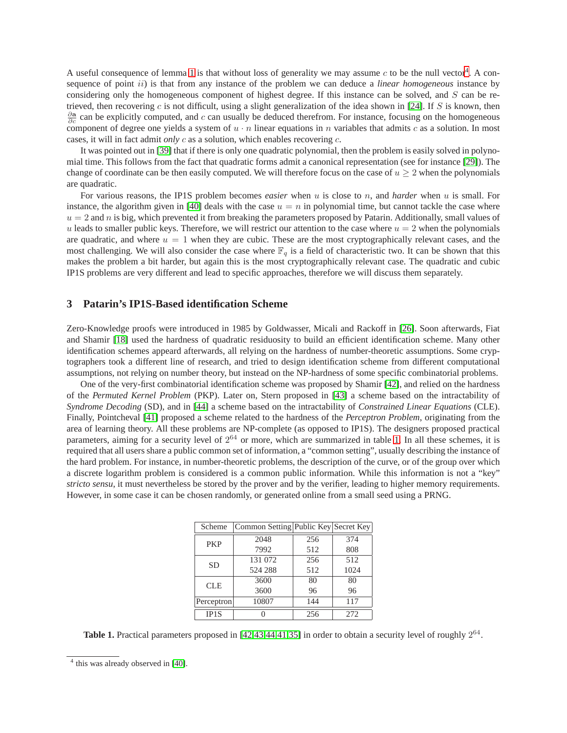A useful consequence of lemma [1](#page-2-1) is that without loss of generality we may assume  $c$  to be the null vector<sup>[4](#page-3-1)</sup>. A consequence of point ii) is that from any instance of the problem we can deduce a *linear homogeneous* instance by considering only the homogeneous component of highest degree. If this instance can be solved, and S can be re-trieved, then recovering c is not difficult, using a slight generalization of the idea shown in [\[24\]](#page-13-21). If S is known, then  $\frac{\partial a}{\partial c}$  can be explicitly computed, and c can usually be deduced therefrom. For instance, focusing on the homogeneous component of degree one yields a system of  $u \cdot n$  linear equations in n variables that admits c as a solution. In most cases, it will in fact admit *only* c as a solution, which enables recovering c.

It was pointed out in [\[39\]](#page-13-9) that if there is only one quadratic polynomial, then the problem is easily solved in polynomial time. This follows from the fact that quadratic forms admit a canonical representation (see for instance [\[29\]](#page-13-22)). The change of coordinate can be then easily computed. We will therefore focus on the case of  $u \geq 2$  when the polynomials are quadratic.

For various reasons, the IP1S problem becomes *easier* when u is close to n, and *harder* when u is small. For instance, the algorithm given in [\[40\]](#page-13-20) deals with the case  $u = n$  in polynomial time, but cannot tackle the case where  $u = 2$  and n is big, which prevented it from breaking the parameters proposed by Patarin. Additionally, small values of u leads to smaller public keys. Therefore, we will restrict our attention to the case where  $u = 2$  when the polynomials are quadratic, and where  $u = 1$  when they are cubic. These are the most cryptographically relevant cases, and the most challenging. We will also consider the case where  $\mathbb{F}_q$  is a field of characteristic two. It can be shown that this makes the problem a bit harder, but again this is the most cryptographically relevant case. The quadratic and cubic IP1S problems are very different and lead to specific approaches, therefore we will discuss them separately.

# <span id="page-3-0"></span>**3 Patarin's IP1S-Based identification Scheme**

Zero-Knowledge proofs were introduced in 1985 by Goldwasser, Micali and Rackoff in [\[26\]](#page-13-23). Soon afterwards, Fiat and Shamir [\[18\]](#page-13-14) used the hardness of quadratic residuosity to build an efficient identification scheme. Many other identification schemes appeard afterwards, all relying on the hardness of number-theoretic assumptions. Some cryptographers took a different line of research, and tried to design identification scheme from different computational assumptions, not relying on number theory, but instead on the NP-hardness of some specific combinatorial problems.

One of the very-first combinatorial identification scheme was proposed by Shamir [\[42\]](#page-13-15), and relied on the hardness of the *Permuted Kernel Problem* (PKP). Later on, Stern proposed in [\[43\]](#page-14-1) a scheme based on the intractability of *Syndrome Decoding* (SD), and in [\[44\]](#page-14-2) a scheme based on the intractability of *Constrained Linear Equations* (CLE). Finally, Pointcheval [\[41\]](#page-13-16) proposed a scheme related to the hardness of the *Perceptron Problem*, originating from the area of learning theory. All these problems are NP-complete (as opposed to IP1S). The designers proposed practical parameters, aiming for a security level of  $2^{64}$  or more, which are summarized in table [1.](#page-3-2) In all these schemes, it is required that all users share a public common set of information, a "common setting", usually describing the instance of the hard problem. For instance, in number-theoretic problems, the description of the curve, or of the group over which a discrete logarithm problem is considered is a common public information. While this information is not a "key" *stricto sensu*, it must nevertheless be stored by the prover and by the verifier, leading to higher memory requirements. However, in some case it can be chosen randomly, or generated online from a small seed using a PRNG.

| Scheme            | Common Setting Public Key Secret Key |     |      |  |
|-------------------|--------------------------------------|-----|------|--|
|                   | 2048                                 | 256 | 374  |  |
| <b>PKP</b>        | 7992                                 | 512 | 808  |  |
| <b>SD</b>         | 131 072                              | 256 | 512  |  |
|                   | 524 288                              | 512 | 1024 |  |
| <b>CLE</b>        | 3600                                 | 80  | 80   |  |
|                   | 3600                                 | 96  | 96   |  |
| Perceptron        | 10807                                | 144 | 117  |  |
| IP <sub>1</sub> S |                                      | 256 | 272  |  |

<span id="page-3-2"></span>**Table 1.** Practical parameters proposed in  $[42, 43, 44, 41, 35]$  $[42, 43, 44, 41, 35]$  $[42, 43, 44, 41, 35]$  $[42, 43, 44, 41, 35]$  $[42, 43, 44, 41, 35]$  $[42, 43, 44, 41, 35]$  $[42, 43, 44, 41, 35]$  $[42, 43, 44, 41, 35]$  in order to obtain a security level of roughly  $2^{64}$ .

<span id="page-3-1"></span><sup>&</sup>lt;sup>4</sup> this was already observed in [\[40\]](#page-13-20).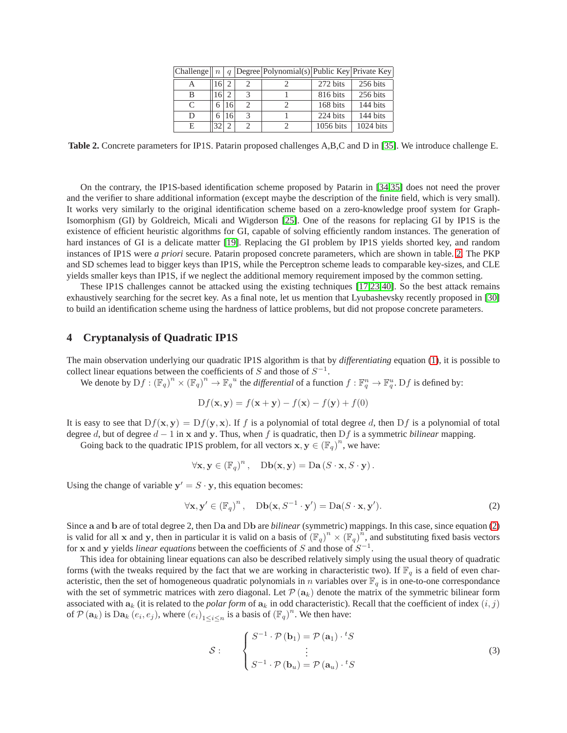|           |      |        | Challenge   $n   q$  Degree Polynomial(s) Public Key Private Key |           |             |
|-----------|------|--------|------------------------------------------------------------------|-----------|-------------|
|           | 16 2 |        |                                                                  | 272 bits  | 256 bits    |
| В         | 1612 |        |                                                                  | 816 bits  | 256 bits    |
| $\subset$ |      | 6   16 |                                                                  | 168 bits  | 144 bits    |
| D         | 6    | 16     |                                                                  | 224 bits  | 144 bits    |
| Е         |      |        |                                                                  | 1056 bits | $1024$ bits |

<span id="page-4-1"></span>**Table 2.** Concrete parameters for IP1S. Patarin proposed challenges A,B,C and D in [\[35\]](#page-13-11). We introduce challenge E.

On the contrary, the IP1S-based identification scheme proposed by Patarin in [\[34](#page-13-8)[,35\]](#page-13-11) does not need the prover and the verifier to share additional information (except maybe the description of the finite field, which is very small). It works very similarly to the original identification scheme based on a zero-knowledge proof system for Graph-Isomorphism (GI) by Goldreich, Micali and Wigderson [\[25\]](#page-13-12). One of the reasons for replacing GI by IP1S is the existence of efficient heuristic algorithms for GI, capable of solving efficiently random instances. The generation of hard instances of GI is a delicate matter [\[19\]](#page-13-13). Replacing the GI problem by IP1S yields shorted key, and random instances of IP1S were *a priori* secure. Patarin proposed concrete parameters, which are shown in table. [2.](#page-4-1) The PKP and SD schemes lead to bigger keys than IP1S, while the Perceptron scheme leads to comparable key-sizes, and CLE yields smaller keys than IP1S, if we neglect the additional memory requirement imposed by the common setting.

These IP1S challenges cannot be attacked using the existing techniques [\[17,](#page-13-10)[23,](#page-13-18)[40\]](#page-13-20). So the best attack remains exhaustively searching for the secret key. As a final note, let us mention that Lyubashevsky recently proposed in [\[30\]](#page-13-17) to build an identification scheme using the hardness of lattice problems, but did not propose concrete parameters.

# <span id="page-4-0"></span>**4 Cryptanalysis of Quadratic IP1S**

The main observation underlying our quadratic IP1S algorithm is that by *differentiating* equation [\(1\)](#page-2-2), it is possible to collect linear equations between the coefficients of S and those of  $S^{-1}$ .

We denote by  $Df: (\mathbb{F}_q)^n \times (\mathbb{F}_q)^n \to \mathbb{F}_q^u$  the *differential* of a function  $f: \mathbb{F}_q^n \to \mathbb{F}_q^u$ .  $Df$  is defined by:

$$
Df(\mathbf{x}, \mathbf{y}) = f(\mathbf{x} + \mathbf{y}) - f(\mathbf{x}) - f(\mathbf{y}) + f(0)
$$

It is easy to see that  $Df(x, y) = Df(y, x)$ . If f is a polynomial of total degree d, then Df is a polynomial of total degree d, but of degree  $d - 1$  in x and y. Thus, when f is quadratic, then Df is a symmetric *bilinear* mapping.

Going back to the quadratic IP1S problem, for all vectors  $\mathbf{x}, \mathbf{y} \in (\mathbb{F}_q)^n$ , we have:

$$
\forall \mathbf{x}, \mathbf{y} \in (\mathbb{F}_q)^n, \quad \text{Db}(\mathbf{x}, \mathbf{y}) = \text{Da}(S \cdot \mathbf{x}, S \cdot \mathbf{y}).
$$

Using the change of variable  $y' = S \cdot y$ , this equation becomes:

<span id="page-4-2"></span>
$$
\forall \mathbf{x}, \mathbf{y}' \in (\mathbb{F}_q)^n, \quad \text{Db}(\mathbf{x}, S^{-1} \cdot \mathbf{y}') = \text{Da}(S \cdot \mathbf{x}, \mathbf{y}'). \tag{2}
$$

Since a and b are of total degree 2, then Da and Db are *bilinear* (symmetric) mappings. In this case, since equation [\(2\)](#page-4-2) is valid for all x and y, then in particular it is valid on a basis of  $(\mathbb{F}_q)^n \times (\mathbb{F}_q)^n$ , and substituting fixed basis vectors for x and y yields *linear equations* between the coefficients of S and those of  $S^{-1}$ .

This idea for obtaining linear equations can also be described relatively simply using the usual theory of quadratic forms (with the tweaks required by the fact that we are working in characteristic two). If  $\mathbb{F}_q$  is a field of even characteristic, then the set of homogeneous quadratic polynomials in n variables over  $\mathbb{F}_q$  is in one-to-one correspondance with the set of symmetric matrices with zero diagonal. Let  $\mathcal{P}(\mathbf{a}_k)$  denote the matrix of the symmetric bilinear form associated with  $a_k$  (it is related to the *polar form* of  $a_k$  in odd characteristic). Recall that the coefficient of index  $(i, j)$ of  $\mathcal{P}(\mathbf{a}_k)$  is  $\text{Da}_k(e_i, e_j)$ , where  $(e_i)_{1 \leq i \leq n}$  is a basis of  $(\mathbb{F}_q)^n$ . We then have:

$$
S: \qquad \begin{cases} S^{-1} \cdot \mathcal{P}(\mathbf{b}_1) = \mathcal{P}(\mathbf{a}_1) \cdot {}^t S \\ \vdots \\ S^{-1} \cdot \mathcal{P}(\mathbf{b}_u) = \mathcal{P}(\mathbf{a}_u) \cdot {}^t S \end{cases} \tag{3}
$$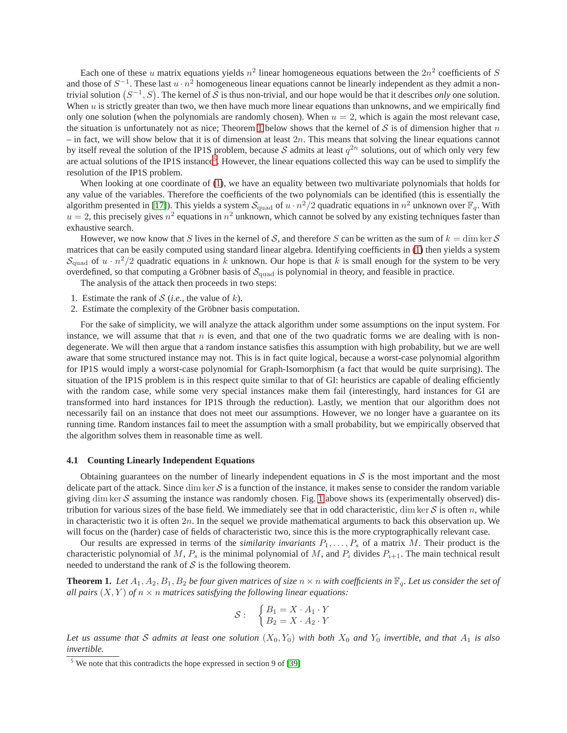Each one of these u matrix equations yields  $n^2$  linear homogeneous equations between the  $2n^2$  coefficients of S and those of  $S^{-1}$ . These last  $u \cdot n^2$  homogeneous linear equations cannot be linearly independent as they admit a nontrivial solution  $(S^{-1}, S)$ . The kernel of S is thus non-trivial, and our hope would be that it describes *only* one solution. When u is strictly greater than two, we then have much more linear equations than unknowns, and we empirically find only one solution (when the polynomials are randomly chosen). When  $u = 2$ , which is again the most relevant case, the situation is unfortunately not as nice; Theorem [1](#page-5-0) below shows that the kernel of  $S$  is of dimension higher that n – in fact, we will show below that it is of dimension at least  $2n$ . This means that solving the linear equations cannot by itself reveal the solution of the IP1S problem, because S admits at least  $q^{2n}$  solutions, out of which only very few are actual solutions of the IP1S instance<sup>[5](#page-5-1)</sup>. However, the linear equations collected this way can be used to simplify the resolution of the IP1S problem.

When looking at one coordinate of [\(1\)](#page-2-2), we have an equality between two multivariate polynomials that holds for any value of the variables. Therefore the coefficients of the two polynomials can be identified (this is essentially the algorithm presented in [\[17\]](#page-13-10)). This yields a system  $S_{quad}$  of  $u \cdot n^2/2$  quadratic equations in  $n^2$  unknown over  $\mathbb{F}_q$ . With  $u = 2$ , this precisely gives  $n^2$  equations in  $n^2$  unknown, which cannot be solved by any existing techniques faster than exhaustive search.

However, we now know that S lives in the kernel of S, and therefore S can be written as the sum of  $k = \dim \ker S$ matrices that can be easily computed using standard linear algebra. Identifying coefficients in [\(1\)](#page-2-2) then yields a system  $S_{\text{quad}}$  of  $u \cdot n^2/2$  quadratic equations in k unknown. Our hope is that k is small enough for the system to be very overdefined, so that computing a Gröbner basis of  $\mathcal{S}_{quad}$  is polynomial in theory, and feasible in practice.

The analysis of the attack then proceeds in two steps:

- 1. Estimate the rank of  $S$  (*i.e.*, the value of *k*).
- 2. Estimate the complexity of the Gröbner basis computation.

For the sake of simplicity, we will analyze the attack algorithm under some assumptions on the input system. For instance, we will assume that that  $n$  is even, and that one of the two quadratic forms we are dealing with is nondegenerate. We will then argue that a random instance satisfies this assumption with high probability, but we are well aware that some structured instance may not. This is in fact quite logical, because a worst-case polynomial algorithm for IP1S would imply a worst-case polynomial for Graph-Isomorphism (a fact that would be quite surprising). The situation of the IP1S problem is in this respect quite similar to that of GI: heuristics are capable of dealing efficiently with the random case, while some very special instances make them fail (interestingly, hard instances for GI are transformed into hard instances for IP1S through the reduction). Lastly, we mention that our algorithm does not necessarily fail on an instance that does not meet our assumptions. However, we no longer have a guarantee on its running time. Random instances fail to meet the assumption with a small probability, but we empirically observed that the algorithm solves them in reasonable time as well.

#### **4.1 Counting Linearly Independent Equations**

Obtaining guarantees on the number of linearly independent equations in  $S$  is the most important and the most delicate part of the attack. Since dim ker  $S$  is a function of the instance, it makes sense to consider the random variable giving dim ker  $S$  assuming the instance was randomly chosen. Fig. [1](#page-6-0) above shows its (experimentally observed) distribution for various sizes of the base field. We immediately see that in odd characteristic, dim ker  $S$  is often n, while in characteristic two it is often  $2n$ . In the sequel we provide mathematical arguments to back this observation up. We will focus on the (harder) case of fields of characteristic two, since this is the more cryptographically relevant case.

Our results are expressed in terms of the *similarity invariants*  $P_1, \ldots, P_s$  of a matrix M. Their product is the characteristic polynomial of M,  $P_s$  is the minimal polynomial of M, and  $P_i$  divides  $P_{i+1}$ . The main technical result needed to understand the rank of  $S$  is the following theorem.

<span id="page-5-0"></span>**Theorem 1.** Let  $A_1, A_2, B_1, B_2$  be four given matrices of size  $n \times n$  with coefficients in  $\mathbb{F}_q$ . Let us consider the set of *all pairs*  $(X, Y)$  *of*  $n \times n$  *matrices satisfying the following linear equations:* 

$$
\mathcal{S}: \quad \begin{cases} B_1 = X \cdot A_1 \cdot Y \\ B_2 = X \cdot A_2 \cdot Y \end{cases}
$$

Let us assume that S admits at least one solution  $(X_0, Y_0)$  with both  $X_0$  and  $Y_0$  invertible, and that  $A_1$  is also *invertible.*

<span id="page-5-1"></span> $5$  We note that this contradicts the hope expressed in section 9 of [\[39\]](#page-13-9)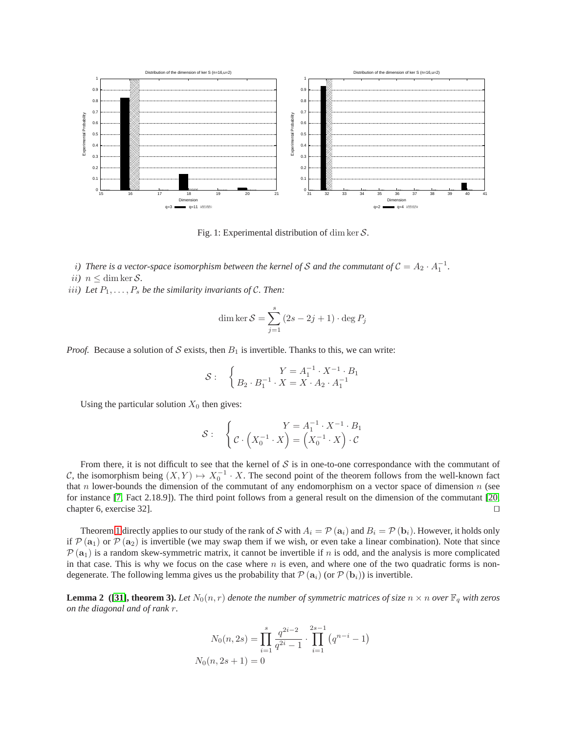<span id="page-6-0"></span>

Fig. 1: Experimental distribution of dim ker  $S$ .

*i*) There is a vector-space isomorphism between the kernel of S and the commutant of  $C = A_2 \cdot A_1^{-1}$ . ii*)*  $n \leq \dim \ker \mathcal{S}$ .

iii) Let  $P_1, \ldots, P_s$  be the similarity invariants of C. Then:

dim ker 
$$
S = \sum_{j=1}^{s} (2s - 2j + 1) \cdot \deg P_j
$$

*Proof.* Because a solution of S exists, then  $B_1$  is invertible. Thanks to this, we can write:

$$
S: \quad \left\{ \begin{array}{c} Y = A_1^{-1} \cdot X^{-1} \cdot B_1 \\ B_2 \cdot B_1^{-1} \cdot X = X \cdot A_2 \cdot A_1^{-1} \end{array} \right.
$$

Using the particular solution  $X_0$  then gives:

$$
\mathcal{S}: \quad \left\{ \mathcal{C} \cdot \left( X_0^{-1} \cdot X \right) = \left( X_0^{-1} \cdot X \right) \cdot \mathcal{C} \right\}
$$

From there, it is not difficult to see that the kernel of  $S$  is in one-to-one correspondance with the commutant of C, the isomorphism being  $(X, Y) \mapsto X_0^{-1} \cdot X$ . The second point of the theorem follows from the well-known fact that n lower-bounds the dimension of the commutant of any endomorphism on a vector space of dimension  $n$  (see for instance [\[7,](#page-12-3) Fact 2.18.9]). The third point follows from a general result on the dimension of the commutant [\[20,](#page-13-24) chapter 6, exercise 32]. ⊓⊔

Theorem [1](#page-5-0) directly applies to our study of the rank of S with  $A_i = \mathcal{P}(\mathbf{a}_i)$  and  $B_i = \mathcal{P}(\mathbf{b}_i)$ . However, it holds only if  $\mathcal{P}(\mathbf{a}_1)$  or  $\mathcal{P}(\mathbf{a}_2)$  is invertible (we may swap them if we wish, or even take a linear combination). Note that since  $P(a_1)$  is a random skew-symmetric matrix, it cannot be invertible if n is odd, and the analysis is more complicated in that case. This is why we focus on the case where  $n$  is even, and where one of the two quadratic forms is nondegenerate. The following lemma gives us the probability that  $P(\mathbf{a}_i)$  (or  $P(\mathbf{b}_i)$ ) is invertible.

**Lemma 2** ([\[31\]](#page-13-25), theorem 3). Let  $N_0(n, r)$  denote the number of symmetric matrices of size  $n \times n$  over  $\mathbb{F}_q$  with zeros *on the diagonal and of rank* r*.*

$$
N_0(n, 2s) = \prod_{i=1}^s \frac{q^{2i-2}}{q^{2i}-1} \cdot \prod_{i=1}^{2s-1} (q^{n-i}-1)
$$
  

$$
N_0(n, 2s+1) = 0
$$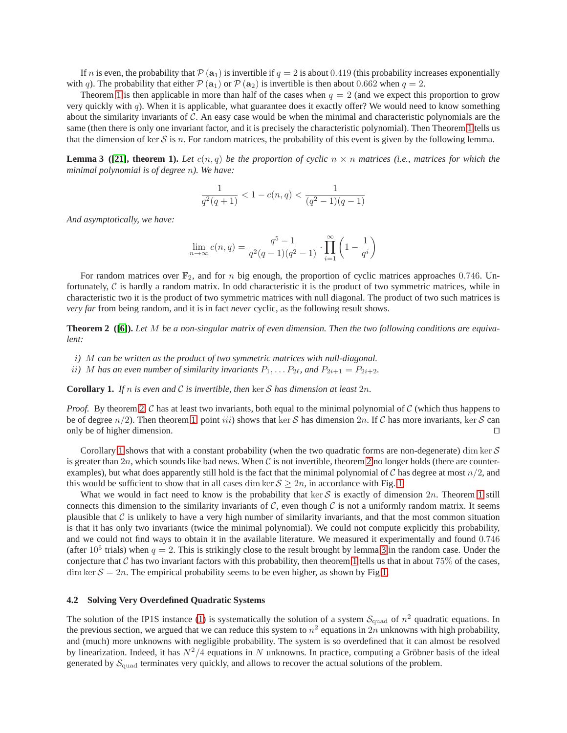If n is even, the probability that  $\mathcal{P}(\mathbf{a}_1)$  is invertible if  $q = 2$  is about 0.419 (this probability increases exponentially with q). The probability that either  $\mathcal{P}(\mathbf{a}_1)$  or  $\mathcal{P}(\mathbf{a}_2)$  is invertible is then about 0.662 when  $q = 2$ .

Theorem [1](#page-5-0) is then applicable in more than half of the cases when  $q = 2$  (and we expect this proportion to grow very quickly with  $q$ ). When it is applicable, what guarantee does it exactly offer? We would need to know something about the similarity invariants of  $C$ . An easy case would be when the minimal and characteristic polynomials are the same (then there is only one invariant factor, and it is precisely the characteristic polynomial). Then Theorem [1](#page-5-0) tells us that the dimension of ker S is n. For random matrices, the probability of this event is given by the following lemma.

<span id="page-7-2"></span>**Lemma 3 ([\[21\]](#page-13-26), theorem 1).** Let  $c(n, q)$  be the proportion of cyclic  $n \times n$  matrices (i.e., matrices for which the *minimal polynomial is of degree* n*). We have:*

$$
\frac{1}{q^2(q+1)} < 1 - c(n,q) < \frac{1}{(q^2-1)(q-1)}
$$

*And asymptotically, we have:*

$$
\lim_{n\to\infty}c(n,q)=\frac{q^5-1}{q^2(q-1)(q^2-1)}\cdot\prod_{i=1}^{\infty}\left(1-\frac{1}{q^i}\right)
$$

For random matrices over  $\mathbb{F}_2$ , and for n big enough, the proportion of cyclic matrices approaches 0.746. Unfortunately,  $C$  is hardly a random matrix. In odd characteristic it is the product of two symmetric matrices, while in characteristic two it is the product of two symmetric matrices with null diagonal. The product of two such matrices is *very far* from being random, and it is in fact *never* cyclic, as the following result shows.

<span id="page-7-0"></span>**Theorem 2 ([\[6\]](#page-12-4)).** *Let* M *be a non-singular matrix of even dimension. Then the two following conditions are equivalent:*

- i*)* M *can be written as the product of two symmetric matrices with null-diagonal.*
- <span id="page-7-1"></span>*ii*) M has an even number of similarity invariants  $P_1, \ldots, P_{2\ell}$ , and  $P_{2i+1} = P_{2i+2}$ .

**Corollary 1.** If *n* is even and C is invertible, then ker S has dimension at least  $2n$ .

*Proof.* By theorem [2,](#page-7-0) C has at least two invariants, both equal to the minimal polynomial of C (which thus happens to be of degree  $n/2$ ). Then theorem [1,](#page-5-0) point *iii*) shows that ker S has dimension 2n. If C has more invariants, ker S can only be of higher dimension. □

Corollary [1](#page-7-1) shows that with a constant probability (when the two quadratic forms are non-degenerate) dim ker  $S$ is greater than [2](#page-7-0)n, which sounds like bad news. When C is not invertible, theorem 2 no longer holds (there are counterexamples), but what does apparently still hold is the fact that the minimal polynomial of C has degree at most  $n/2$ , and this would be sufficient to show that in all cases dim ker  $S \ge 2n$ , in accordance with Fig. [1.](#page-6-0)

What we would in fact need to know is the probability that ker S is exactly of dimension  $2n$ . Theorem [1](#page-5-0) still connects this dimension to the similarity invariants of  $C$ , even though  $C$  is not a uniformly random matrix. It seems plausible that  $C$  is unlikely to have a very high number of similarity invariants, and that the most common situation is that it has only two invariants (twice the minimal polynomial). We could not compute explicitly this probability, and we could not find ways to obtain it in the available literature. We measured it experimentally and found 0.746 (after  $10^5$  trials) when  $q=2$ . This is strikingly close to the result brought by lemma [3](#page-7-2) in the random case. Under the conjecture that C has two invariant factors with this probability, then theorem [1](#page-5-0) tells us that in about  $75\%$  of the cases,  $\dim \ker S = 2n$ . The empirical probability seems to be even higher, as shown by Fig [1.](#page-6-0)

#### **4.2 Solving Very Overdefined Quadratic Systems**

The solution of the IP1S instance [\(1\)](#page-2-2) is systematically the solution of a system  $S_{quad}$  of  $n^2$  quadratic equations. In the previous section, we argued that we can reduce this system to  $n^2$  equations in  $2n$  unknowns with high probability, and (much) more unknowns with negligible probability. The system is so overdefined that it can almost be resolved by linearization. Indeed, it has  $N^2/4$  equations in N unknowns. In practice, computing a Gröbner basis of the ideal generated by  $S_{\text{quad}}$  terminates very quickly, and allows to recover the actual solutions of the problem.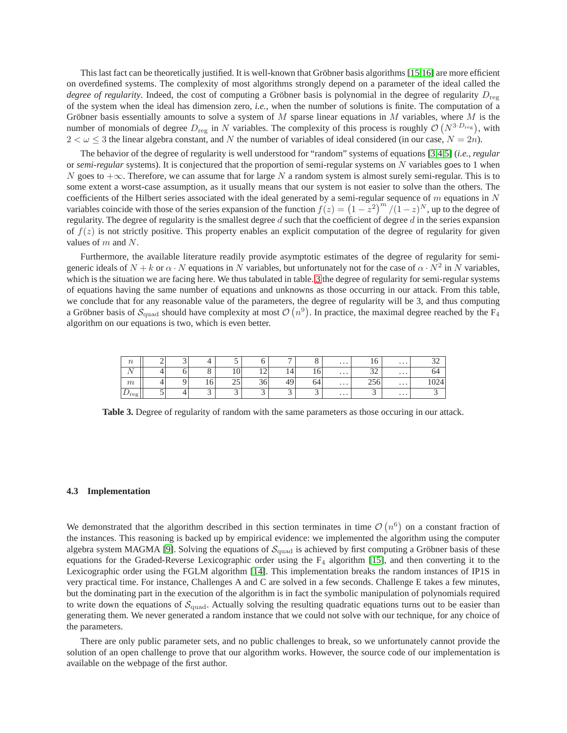This last fact can be theoretically justified. It is well-known that Gröbner basis algorithms [\[15,](#page-13-27)[16\]](#page-13-28) are more efficient on overdefined systems. The complexity of most algorithms strongly depend on a parameter of the ideal called the *degree of regularity*. Indeed, the cost of computing a Gröbner basis is polynomial in the degree of regularity  $D_{\text{rec}}$ of the system when the ideal has dimension zero, *i.e.*, when the number of solutions is finite. The computation of a Gröbner basis essentially amounts to solve a system of  $M$  sparse linear equations in  $M$  variables, where  $M$  is the number of monomials of degree  $D_{reg}$  in N variables. The complexity of this process is roughly  $\mathcal{O}(N^{3 \cdot D_{reg}})$ , with  $2 < \omega \leq 3$  the linear algebra constant, and N the number of variables of ideal considered (in our case,  $N = 2n$ ).

The behavior of the degree of regularity is well understood for "random" systems of equations [\[3,](#page-12-5)[4](#page-12-6)[,5\]](#page-12-7) (*i.e.*, *regular* or *semi-regular* systems). It is conjectured that the proportion of semi-regular systems on N variables goes to 1 when N goes to  $+\infty$ . Therefore, we can assume that for large N a random system is almost surely semi-regular. This is to some extent a worst-case assumption, as it usually means that our system is not easier to solve than the others. The coefficients of the Hilbert series associated with the ideal generated by a semi-regular sequence of  $m$  equations in  $N$ variables coincide with those of the series expansion of the function  $f(z) = (1 - z^2)^m / (1 - z)^N$ , up to the degree of regularity. The degree of regularity is the smallest degree  $d$  such that the coefficient of degree  $d$  in the series expansion of  $f(z)$  is not strictly positive. This property enables an explicit computation of the degree of regularity for given values of m and N.

Furthermore, the available literature readily provide asymptotic estimates of the degree of regularity for semigeneric ideals of  $N + k$  or  $\alpha \cdot N$  equations in N variables, but unfortunately not for the case of  $\alpha \cdot N^2$  in N variables, which is the situation we are facing here. We thus tabulated in table. [3](#page-8-0) the degree of regularity for semi-regular systems of equations having the same number of equations and unknowns as those occurring in our attack. From this table, we conclude that for any reasonable value of the parameters, the degree of regularity will be 3, and thus computing a Gröbner basis of  $S_{\text{quad}}$  should have complexity at most  $\mathcal{O}(n^9)$ . In practice, the maximal degree reached by the  $F_4$ algorithm on our equations is two, which is even better.

| $\boldsymbol{n}$ |   |          | ◡                             |               | $\overline{ }$ | O                             | $\cdots$ | $\overline{1}$                | $\cdots$ |        |
|------------------|---|----------|-------------------------------|---------------|----------------|-------------------------------|----------|-------------------------------|----------|--------|
| N                |   | $\Omega$ | 10 <sup>1</sup>               | $\sim$<br>. . | $1+$           | 1 V                           | $\cdots$ | $\sim$<br>ັ້                  | $\cdots$ | 04     |
| m                |   | 10       | $\sim$ $\sim$<br>رے           | υc            | $\sim$<br>49   | 04                            | $\cdots$ | $\sim$                        | $\cdots$ | $10 -$ |
| $\nu$ reg        | ◡ | ⌒<br>◡   | $\overline{\phantom{0}}$<br>◡ | $\sim$<br>◡   | $\sim$<br>◡    | $\overline{\phantom{0}}$<br>◡ | $\cdots$ | $\overline{\phantom{0}}$<br>◡ | $\cdots$ |        |

<span id="page-8-0"></span>**Table 3.** Degree of regularity of random with the same parameters as those occuring in our attack.

#### **4.3 Implementation**

We demonstrated that the algorithm described in this section terminates in time  $\mathcal{O}(n^6)$  on a constant fraction of the instances. This reasoning is backed up by empirical evidence: we implemented the algorithm using the computer algebra system MAGMA [\[9\]](#page-13-29). Solving the equations of  $S_{quad}$  is achieved by first computing a Gröbner basis of these equations for the Graded-Reverse Lexicographic order using the  $F_4$  algorithm [\[15\]](#page-13-27), and then converting it to the Lexicographic order using the FGLM algorithm [\[14\]](#page-13-30). This implementation breaks the random instances of IP1S in very practical time. For instance, Challenges A and C are solved in a few seconds. Challenge E takes a few minutes, but the dominating part in the execution of the algorithm is in fact the symbolic manipulation of polynomials required to write down the equations of  $S_{quad}$ . Actually solving the resulting quadratic equations turns out to be easier than generating them. We never generated a random instance that we could not solve with our technique, for any choice of the parameters.

There are only public parameter sets, and no public challenges to break, so we unfortunately cannot provide the solution of an open challenge to prove that our algorithm works. However, the source code of our implementation is available on the webpage of the first author.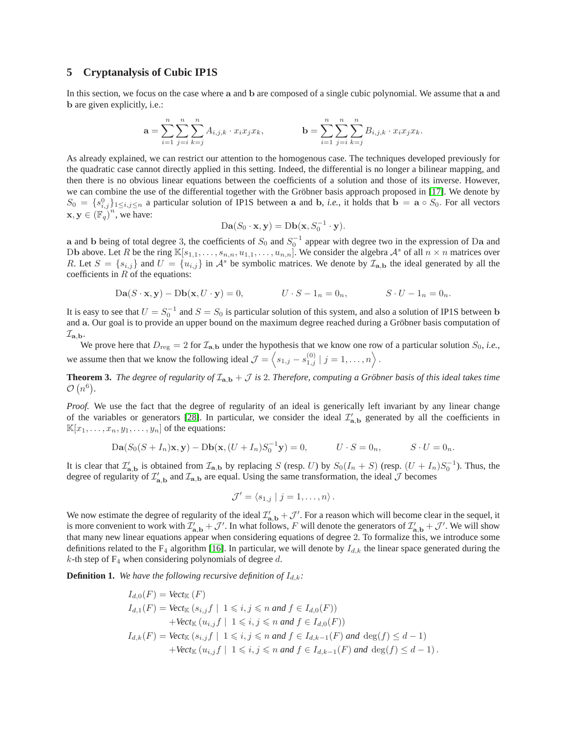# <span id="page-9-0"></span>**5 Cryptanalysis of Cubic IP1S**

In this section, we focus on the case where a and b are composed of a single cubic polynomial. We assume that a and b are given explicitly, i.e.:

$$
\mathbf{a} = \sum_{i=1}^{n} \sum_{j=i}^{n} \sum_{k=j}^{n} A_{i,j,k} \cdot x_i x_j x_k, \qquad \mathbf{b} = \sum_{i=1}^{n} \sum_{j=i}^{n} \sum_{k=j}^{n} B_{i,j,k} \cdot x_i x_j x_k.
$$

As already explained, we can restrict our attention to the homogenous case. The techniques developed previously for the quadratic case cannot directly applied in this setting. Indeed, the differential is no longer a bilinear mapping, and then there is no obvious linear equations between the coefficients of a solution and those of its inverse. However, we can combine the use of the differential together with the Gröbner basis approach proposed in [\[17\]](#page-13-10). We denote by  $S_0 = \{s_{i,j}^0\}_{1 \leq i,j \leq n}$  a particular solution of IP1S between a and b, *i.e.*, it holds that  $\mathbf{b} = \mathbf{a} \circ S_0$ . For all vectors  $\mathbf{x}, \mathbf{y} \in (\mathbb{F}_q)^n$ , we have:

$$
Da(S_0 \cdot x, y) = Db(x, S_0^{-1} \cdot y).
$$

a and b being of total degree 3, the coefficients of  $S_0$  and  $S_0^{-1}$  appear with degree two in the expression of Da and Db above. Let R be the ring  $\mathbb{K}[s_{1,1},\ldots,s_{n,n},u_{1,1},\ldots,u_{n,n}]$ . We consider the algebra  $\mathcal{A}^s$  of all  $n \times n$  matrices over R. Let  $S = \{s_{i,j}\}\$ and  $U = \{u_{i,j}\}\$ in  $\mathcal{A}^s$  be symbolic matrices. We denote by  $\mathcal{I}_{a,b}$  the ideal generated by all the coefficients in  $R$  of the equations:

$$
Da(S \cdot x, y) - Db(x, U \cdot y) = 0, \qquad U \cdot S - 1_n = 0_n, \qquad S \cdot U - 1_n = 0_n.
$$

It is easy to see that  $U = S_0^{-1}$  and  $S = S_0$  is particular solution of this system, and also a solution of IP1S between b and a. Our goal is to provide an upper bound on the maximum degree reached during a Gröbner basis computation of  $\mathcal{I}_{\mathbf{a},\mathbf{b}}$ .

We prove here that  $D_{reg} = 2$  for  $\mathcal{I}_{a,b}$  under the hypothesis that we know one row of a particular solution  $S_0$ , *i.e.*, we assume then that we know the following ideal  $\mathcal{J} = \langle s_{1,j} - s_{1,j}^{(0)} | j = 1, \ldots, n \rangle$ .

**Theorem 3.** The degree of regularity of  $\mathcal{I}_{a,b} + \mathcal{J}$  is 2. Therefore, computing a Gröbner basis of this ideal takes time  $\mathcal{O}(n^6)$ .

*Proof.* We use the fact that the degree of regularity of an ideal is generically left invariant by any linear change of the variables or generators [\[28\]](#page-13-31). In particular, we consider the ideal  $\mathcal{I}'_{a,b}$  generated by all the coefficients in  $\mathbb{K}[x_1,\ldots,x_n,y_1,\ldots,y_n]$  of the equations:

$$
Da(S_0(S + I_n)x, y) - Db(x, (U + I_n)S_0^{-1}y) = 0, \tU \cdot S = 0_n, \tS \cdot U = 0_n.
$$

It is clear that  $\mathcal{I}'_{a,b}$  is obtained from  $\mathcal{I}_{a,b}$  by replacing S (resp. U) by  $S_0(I_n + S)$  (resp.  $(U + I_n)S_0^{-1}$ ). Thus, the degree of regularity of  $\mathcal{I}'_{a,b}$  and  $\mathcal{I}_{a,b}$  are equal. Using the same transformation, the ideal  $\mathcal J$  becomes

<span id="page-9-1"></span>
$$
\mathcal{J}'=\langle s_{1,j} \mid j=1,\ldots,n\rangle.
$$

We now estimate the degree of regularity of the ideal  $\mathcal{I}'_{a,b} + \mathcal{J}'$ . For a reason which will become clear in the sequel, it is more convenient to work with  $\mathcal{I}'_{a,b} + \mathcal{J}'$ . In what follows, F will denote the generators of  $\mathcal{I}'_{a,b} + \mathcal{J}'$ . We will show that many new linear equations appear when considering equations of degree 2. To formalize this, we introduce some definitions related to the  $F_4$  algorithm [\[16\]](#page-13-28). In particular, we will denote by  $I_{d,k}$  the linear space generated during the  $k$ -th step of  $F_4$  when considering polynomials of degree d.

**Definition 1.** We have the following recursive definition of  $I_{d,k}$ :

$$
I_{d,0}(F) = \text{Vect}_{\mathbb{K}}(F)
$$
  
\n
$$
I_{d,1}(F) = \text{Vect}_{\mathbb{K}}(s_{i,j}f \mid 1 \leq i, j \leq n \text{ and } f \in I_{d,0}(F))
$$
  
\n
$$
+ \text{Vect}_{\mathbb{K}}(u_{i,j}f \mid 1 \leq i, j \leq n \text{ and } f \in I_{d,0}(F))
$$
  
\n
$$
I_{d,k}(F) = \text{Vect}_{\mathbb{K}}(s_{i,j}f \mid 1 \leq i, j \leq n \text{ and } f \in I_{d,k-1}(F) \text{ and } \deg(f) \leq d-1)
$$
  
\n
$$
+ \text{Vect}_{\mathbb{K}}(u_{i,j}f \mid 1 \leq i, j \leq n \text{ and } f \in I_{d,k-1}(F) \text{ and } \deg(f) \leq d-1).
$$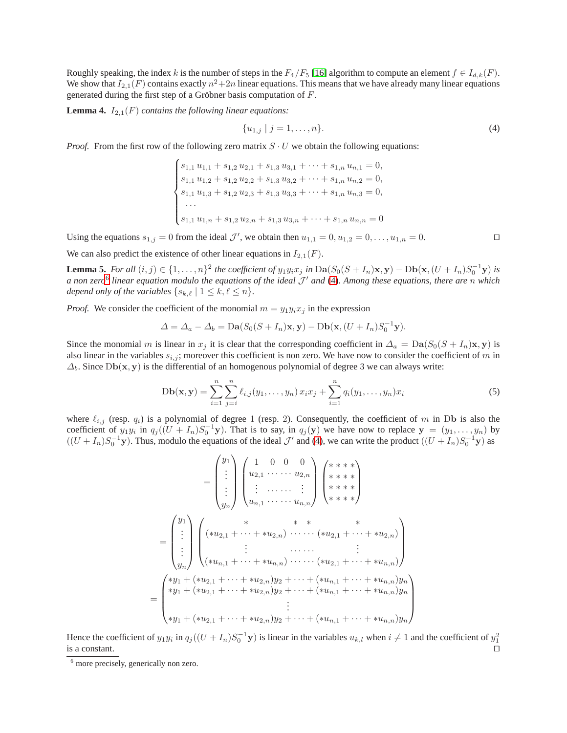Roughly speaking, the index k is the number of steps in the  $F_4/F_5$  [\[16\]](#page-13-28) algorithm to compute an element  $f \in I_{d,k}(F)$ . We show that  $I_{2,1}(F)$  contains exactly  $n^2+2n$  linear equations. This means that we have already many linear equations generated during the first step of a Gröbner basis computation of F.

**Lemma 4.**  $I_{2,1}(F)$  *contains the following linear equations:* 

<span id="page-10-2"></span><span id="page-10-1"></span>
$$
\{u_{1,j} \mid j=1,\ldots,n\}.\tag{4}
$$

*Proof.* From the first row of the following zero matrix  $S \cdot U$  we obtain the following equations:

 $\sqrt{ }$  $\Bigg\}$  $\overline{\mathcal{L}}$  $s_{1,1} u_{1,1} + s_{1,2} u_{2,1} + s_{1,3} u_{3,1} + \cdots + s_{1,n} u_{n,1} = 0,$  $s_{1,1} u_{1,2} + s_{1,2} u_{2,2} + s_{1,3} u_{3,2} + \cdots + s_{1,n} u_{n,2} = 0,$  $s_{1,1} u_{1,3} + s_{1,2} u_{2,3} + s_{1,3} u_{3,3} + \cdots + s_{1,n} u_{n,3} = 0,$ · · ·  $s_{1,1} u_{1,n} + s_{1,2} u_{2,n} + s_{1,3} u_{3,n} + \cdots + s_{1,n} u_{n,n} = 0$ 

Using the equations  $s_{1,j} = 0$  from the ideal  $\mathcal{J}'$ , we obtain then  $u_{1,1} = 0, u_{1,2} = 0, \ldots, u_{1,n} = 0$ .

We can also predict the existence of other linear equations in  $I_{2,1}(F)$ .

**Lemma 5.** *For all*  $(i, j) \in \{1, ..., n\}^2$  *the coefficient of*  $y_1y_ix_j$  *in*  $Da(S_0(S + I_n)x, y) - Db(x, (U + I_n)S_0^{-1}y)$  *is a non zero*[6](#page-10-0) *linear equation modulo the equations of the ideal* J ′ *and* [\(4\)](#page-10-1)*. Among these equations, there are* n *which depend only of the variables*  $\{s_{k,\ell} \mid 1 \leq k, \ell \leq n\}.$ 

*Proof.* We consider the coefficient of the monomial  $m = y_1y_ix_j$  in the expression

$$
\Delta = \Delta_a - \Delta_b = \mathbf{Da}(S_0(S + I_n)\mathbf{x}, \mathbf{y}) - \mathbf{Db}(\mathbf{x}, (U + I_n)S_0^{-1}\mathbf{y}).
$$

Since the monomial m is linear in  $x_j$  it is clear that the corresponding coefficient in  $\Delta_a = \text{Da}(S_0(S + I_n)x, y)$  is also linear in the variables  $s_{i,j}$ ; moreover this coefficient is non zero. We have now to consider the coefficient of m in  $\Delta_b$ . Since Db(x, y) is the differential of an homogenous polynomial of degree 3 we can always write:

$$
Db(\mathbf{x}, \mathbf{y}) = \sum_{i=1}^{n} \sum_{j=i}^{n} \ell_{i,j}(y_1, \dots, y_n) x_i x_j + \sum_{i=1}^{n} q_i(y_1, \dots, y_n) x_i
$$
(5)

where  $\ell_{i,j}$  (resp.  $q_i$ ) is a polynomial of degree 1 (resp. 2). Consequently, the coefficient of m in Db is also the coefficient of  $y_1y_i$  in  $q_j((U + I_n)S_0^{-1}y)$ . That is to say, in  $q_j(y)$  we have now to replace  $y = (y_1, \ldots, y_n)$  by  $((U + I_n)S_0^{-1}y)$ . Thus, modulo the equations of the ideal  $\mathcal{J}'$  and [\(4\)](#page-10-1), we can write the product  $((U + I_n)S_0^{-1}y)$  as

$$
= \begin{pmatrix} y_1 \\ \vdots \\ y_n \end{pmatrix} \begin{pmatrix} 1 & 0 & 0 & 0 \\ u_{2,1} & \cdots & u_{2,n} \\ \vdots & \ddots & \vdots \\ u_{n,1} & \cdots & u_{n,n} \end{pmatrix} \begin{pmatrix} * & * & * & * \\ * & * & * & * \\ * & * & * & * \\ * & * & * & * \end{pmatrix}
$$
  

$$
= \begin{pmatrix} y_1 \\ \vdots \\ y_n \end{pmatrix} \begin{pmatrix} * & * & * & * & * \\ (*u_{2,1} + \cdots + *u_{2,n}) & \cdots & (*u_{2,1} + \cdots + *u_{2,n}) \\ \vdots & \ddots & \vdots \\ (*u_{n,1} + \cdots + *u_{n,n}) & \cdots & (*u_{2,1} + \cdots + *u_{n,n}) \end{pmatrix}
$$
  

$$
= \begin{pmatrix} *y_1 + (*u_{2,1} + \cdots + *u_{2,n})y_2 + \cdots + (*u_{n,1} + \cdots + *u_{n,n})y_n \\ *y_1 + (*u_{2,1} + \cdots + *u_{2,n})y_2 + \cdots + (*u_{n,1} + \cdots + *u_{n,n})y_n \\ \vdots \\ *y_1 + (*u_{2,1} + \cdots + *u_{2,n})y_2 + \cdots + (*u_{n,1} + \cdots + *u_{n,n})y_n \end{pmatrix}
$$

Hence the coefficient of  $y_1y_i$  in  $q_j((U+I_n)S_0^{-1}\mathbf{y})$  is linear in the variables  $u_{k,l}$  when  $i \neq 1$  and the coefficient of  $y_1^2$ is a constant. ⊓⊔

<span id="page-10-0"></span><sup>&</sup>lt;sup>6</sup> more precisely, generically non zero.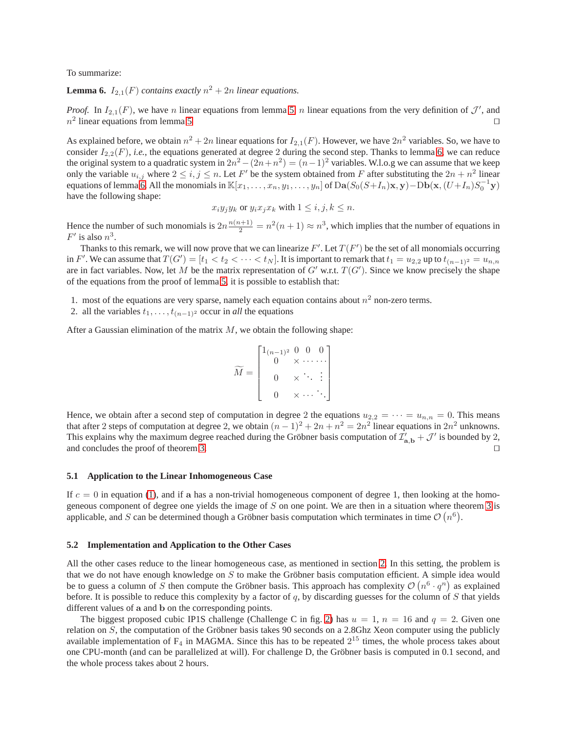<span id="page-11-0"></span>To summarize:

**Lemma 6.**  $I_{2,1}(F)$  *contains exactly*  $n^2 + 2n$  *linear equations.* 

*Proof.* In  $I_{2,1}(F)$ , we have n linear equations from lemma [5,](#page-10-2) n linear equations from the very definition of  $\mathcal{J}'$ , and  $n^2$  linear equations from lemma [5](#page-10-2) □

As explained before, we obtain  $n^2 + 2n$  linear equations for  $I_{2,1}(F)$ . However, we have  $2n^2$  variables. So, we have to consider  $I_{2,2}(F)$ , *i.e.*, the equations generated at degree 2 during the second step. Thanks to lemma [6,](#page-11-0) we can reduce the original system to a quadratic system in  $2n^2 - (2n + n^2) = (n-1)^2$  variables. W.l.o.g we can assume that we keep only the variable  $u_{i,j}$  where  $2 \le i, j \le n$ . Let F' be the system obtained from F after substituting the  $2n + n^2$  linear equations of lemma [6.](#page-11-0) All the monomials in  $\mathbb{K}[x_1,\ldots,x_n,y_1,\ldots,y_n]$  of  $\text{Da}(S_0(S+I_n)\mathbf{x},\mathbf{y})-\text{Db}(\mathbf{x},(U+I_n)S_0^{-1}\mathbf{y})$ have the following shape:

$$
x_i y_j y_k \text{ or } y_i x_j x_k \text{ with } 1 \le i, j, k \le n.
$$

Hence the number of such monomials is  $2n \frac{n(n+1)}{2} = n^2(n+1) \approx n^3$ , which implies that the number of equations in  $F'$  is also  $n^3$ .

Thanks to this remark, we will now prove that we can linearize  $F'$ . Let  $T(F')$  be the set of all monomials occurring in F'. We can assume that  $T(G') = [t_1 < t_2 < \cdots < t_N]$ . It is important to remark that  $t_1 = u_{2,2}$  up to  $t_{(n-1)^2} = u_{n,n}$ are in fact variables. Now, let M be the matrix representation of  $G'$  w.r.t.  $T(G')$ . Since we know precisely the shape of the equations from the proof of lemma [5,](#page-10-2) it is possible to establish that:

1. most of the equations are very sparse, namely each equation contains about  $n<sup>2</sup>$  non-zero terms.

2. all the variables  $t_1, \ldots, t_{(n-1)^2}$  occur in *all* the equations

After a Gaussian elimination of the matrix  $M$ , we obtain the following shape:

$$
\widetilde{M} = \begin{bmatrix} 1_{(n-1)^2} & 0 & 0 & 0 \\ 0 & \times & \cdots & \cdots \\ 0 & \times & \ddots & \vdots \\ 0 & \times & \cdots & \ddots \end{bmatrix}
$$

Hence, we obtain after a second step of computation in degree 2 the equations  $u_{2,2} = \cdots = u_{n,n} = 0$ . This means that after 2 steps of computation at degree 2, we obtain  $(n-1)^2 + 2n + n^2 = 2n^2$  linear equations in  $2n^2$  unknowns. This explains why the maximum degree reached during the Gröbner basis computation of  $\mathcal{I}'_{a,b} + \mathcal{J}'$  is bounded by 2, and concludes the proof of theorem [3.](#page-9-1) ⊓⊔

#### **5.1 Application to the Linear Inhomogeneous Case**

If  $c = 0$  in equation [\(1\)](#page-2-2), and if a has a non-trivial homogeneous component of degree 1, then looking at the homogeneous component of degree one yields the image of  $S$  on one point. We are then in a situation where theorem  $3$  is applicable, and S can be determined though a Gröbner basis computation which terminates in time  $\mathcal{O}(n^6)$ .

#### **5.2 Implementation and Application to the Other Cases**

All the other cases reduce to the linear homogeneous case, as mentioned in section [2.](#page-2-0) In this setting, the problem is that we do not have enough knowledge on S to make the Gröbner basis computation efficient. A simple idea would be to guess a column of S then compute the Gröbner basis. This approach has complexity  $\mathcal{O}(n^6 \cdot q^n)$  as explained before. It is possible to reduce this complexity by a factor of  $q$ , by discarding guesses for the column of  $S$  that yields different values of a and b on the corresponding points.

The biggest proposed cubic IP1S challenge (Challenge C in fig. [2\)](#page-4-1) has  $u = 1$ ,  $n = 16$  and  $q = 2$ . Given one relation on S, the computation of the Gröbner basis takes 90 seconds on a 2.8Ghz Xeon computer using the publicly available implementation of  $F_4$  in MAGMA. Since this has to be repeated  $2^{15}$  times, the whole process takes about one CPU-month (and can be parallelized at will). For challenge D, the Gröbner basis is computed in 0.1 second, and the whole process takes about 2 hours.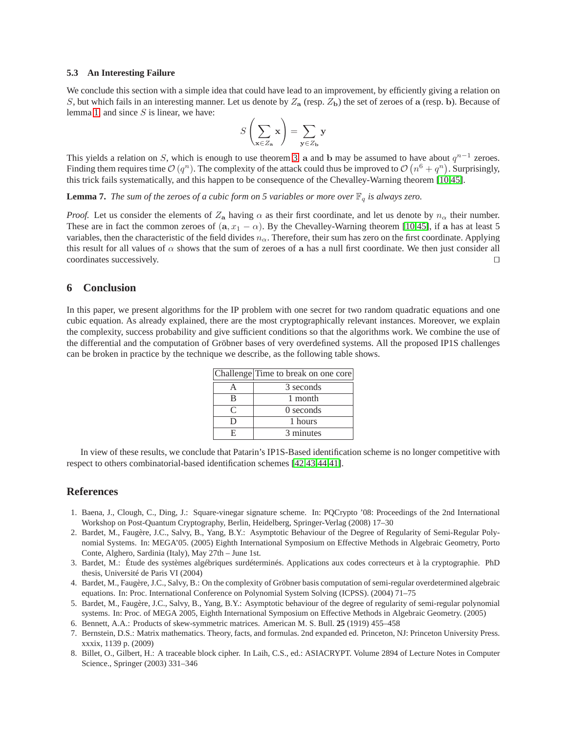#### **5.3 An Interesting Failure**

We conclude this section with a simple idea that could have lead to an improvement, by efficiently giving a relation on S, but which fails in an interesting manner. Let us denote by  $Z_a$  (resp.  $Z_b$ ) the set of zeroes of a (resp. b). Because of lemma [1,](#page-2-1) and since  $S$  is linear, we have:

$$
S\left(\sum_{\mathbf{x}\in Z_{\mathbf{a}}}\mathbf{x}\right)=\sum_{\mathbf{y}\in Z_{\mathbf{b}}}\mathbf{y}
$$

This yields a relation on S, which is enough to use theorem [3.](#page-9-1) a and b may be assumed to have about  $q^{n-1}$  zeroes. Finding them requires time  $\mathcal{O}(q^n)$ . The complexity of the attack could thus be improved to  $\mathcal{O}(n^6 + q^n)$ . Surprisingly, this trick fails systematically, and this happen to be consequence of the Chevalley-Warning theorem [\[10,](#page-13-32)[45\]](#page-14-3).

**Lemma 7.** The sum of the zeroes of a cubic form on 5 variables or more over  $\mathbb{F}_q$  is always zero.

*Proof.* Let us consider the elements of  $Z_a$  having  $\alpha$  as their first coordinate, and let us denote by  $n_\alpha$  their number. These are in fact the common zeroes of  $(a, x_1 - \alpha)$ . By the Chevalley-Warning theorem [\[10](#page-13-32)[,45\]](#page-14-3), if a has at least 5 variables, then the characteristic of the field divides  $n_{\alpha}$ . Therefore, their sum has zero on the first coordinate. Applying this result for all values of  $\alpha$  shows that the sum of zeroes of a has a null first coordinate. We then just consider all coordinates successively. ⊓⊔

# **6 Conclusion**

In this paper, we present algorithms for the IP problem with one secret for two random quadratic equations and one cubic equation. As already explained, there are the most cryptographically relevant instances. Moreover, we explain the complexity, success probability and give sufficient conditions so that the algorithms work. We combine the use of the differential and the computation of Gröbner bases of very overdefined systems. All the proposed IP1S challenges can be broken in practice by the technique we describe, as the following table shows.

|           | Challenge Time to break on one core |
|-----------|-------------------------------------|
|           | 3 seconds                           |
| в         | 1 month                             |
| $\subset$ | $0$ seconds                         |
| ו ו       | 1 hours                             |
| н         | 3 minutes                           |

In view of these results, we conclude that Patarin's IP1S-Based identification scheme is no longer competitive with respect to others combinatorial-based identification schemes [\[42,](#page-13-15)[43,](#page-14-1)[44,](#page-14-2)[41\]](#page-13-16).

# **References**

- <span id="page-12-2"></span>1. Baena, J., Clough, C., Ding, J.: Square-vinegar signature scheme. In: PQCrypto '08: Proceedings of the 2nd International Workshop on Post-Quantum Cryptography, Berlin, Heidelberg, Springer-Verlag (2008) 17–30
- <span id="page-12-0"></span>2. Bardet, M., Faugère, J.C., Salvy, B., Yang, B.Y.: Asymptotic Behaviour of the Degree of Regularity of Semi-Regular Polynomial Systems. In: MEGA'05. (2005) Eighth International Symposium on Effective Methods in Algebraic Geometry, Porto Conte, Alghero, Sardinia (Italy), May 27th – June 1st.
- <span id="page-12-5"></span>3. Bardet, M.: Étude des systèmes algébriques surdéterminés. Applications aux codes correcteurs et à la cryptographie. PhD thesis, Université de Paris VI (2004)
- <span id="page-12-6"></span>4. Bardet, M., Faugère, J.C., Salvy, B.: On the complexity of Gröbner basis computation of semi-regular overdetermined algebraic equations. In: Proc. International Conference on Polynomial System Solving (ICPSS). (2004) 71–75
- <span id="page-12-7"></span>5. Bardet, M., Faugère, J.C., Salvy, B., Yang, B.Y.: Asymptotic behaviour of the degree of regularity of semi-regular polynomial systems. In: Proc. of MEGA 2005, Eighth International Symposium on Effective Methods in Algebraic Geometry. (2005)
- <span id="page-12-4"></span><span id="page-12-3"></span>6. Bennett, A.A.: Products of skew-symmetric matrices. American M. S. Bull. **25** (1919) 455–458
- 7. Bernstein, D.S.: Matrix mathematics. Theory, facts, and formulas. 2nd expanded ed. Princeton, NJ: Princeton University Press. xxxix, 1139 p. (2009)
- <span id="page-12-1"></span>8. Billet, O., Gilbert, H.: A traceable block cipher. In Laih, C.S., ed.: ASIACRYPT. Volume 2894 of Lecture Notes in Computer Science., Springer (2003) 331–346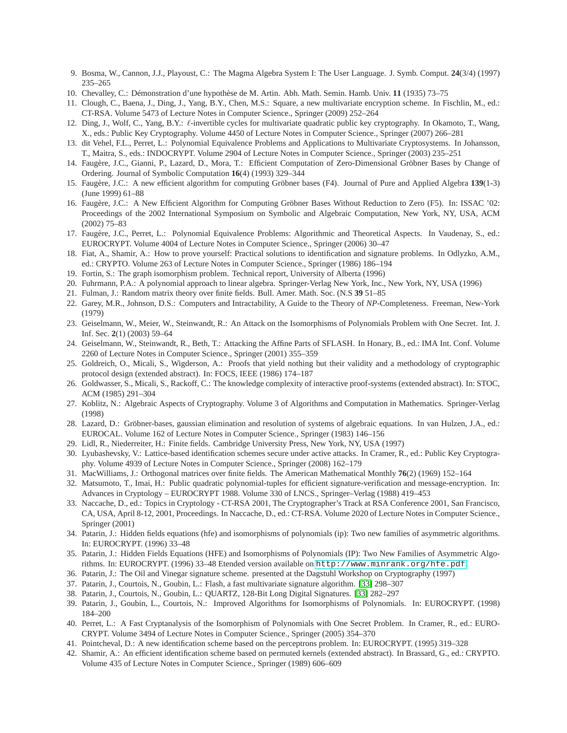- <span id="page-13-32"></span><span id="page-13-29"></span>9. Bosma, W., Cannon, J.J., Playoust, C.: The Magma Algebra System I: The User Language. J. Symb. Comput. **24**(3/4) (1997) 235–265
- <span id="page-13-7"></span>10. Chevalley, C.: Démonstration d'une hypothèse de M. Artin. Abh. Math. Semin. Hamb. Univ. **11** (1935) 73–75
- <span id="page-13-6"></span>11. Clough, C., Baena, J., Ding, J., Yang, B.Y., Chen, M.S.: Square, a new multivariate encryption scheme. In Fischlin, M., ed.: CT-RSA. Volume 5473 of Lecture Notes in Computer Science., Springer (2009) 252–264
- 12. Ding, J., Wolf, C., Yang, B.Y.: ℓ-invertible cycles for multivariate quadratic public key cryptography. In Okamoto, T., Wang, X., eds.: Public Key Cryptography. Volume 4450 of Lecture Notes in Computer Science., Springer (2007) 266–281
- <span id="page-13-19"></span>13. dit Vehel, F.L., Perret, L.: Polynomial Equivalence Problems and Applications to Multivariate Cryptosystems. In Johansson, T., Maitra, S., eds.: INDOCRYPT. Volume 2904 of Lecture Notes in Computer Science., Springer (2003) 235–251
- <span id="page-13-30"></span>14. Faugère, J.C., Gianni, P., Lazard, D., Mora, T.: Efficient Computation of Zero-Dimensional Gröbner Bases by Change of Ordering. Journal of Symbolic Computation **16**(4) (1993) 329–344
- <span id="page-13-27"></span>15. Faugère, J.C.: A new efficient algorithm for computing Gröbner bases (F4). Journal of Pure and Applied Algebra **139**(1-3) (June 1999) 61–88
- <span id="page-13-28"></span>16. Faugère, J.C.: A New Efficient Algorithm for Computing Gröbner Bases Without Reduction to Zero (F5). In: ISSAC '02: Proceedings of the 2002 International Symposium on Symbolic and Algebraic Computation, New York, NY, USA, ACM (2002) 75–83
- <span id="page-13-10"></span>17. Faugère, J.C., Perret, L.: Polynomial Equivalence Problems: Algorithmic and Theoretical Aspects. In Vaudenay, S., ed.: EUROCRYPT. Volume 4004 of Lecture Notes in Computer Science., Springer (2006) 30–47
- <span id="page-13-14"></span>18. Fiat, A., Shamir, A.: How to prove yourself: Practical solutions to identification and signature problems. In Odlyzko, A.M., ed.: CRYPTO. Volume 263 of Lecture Notes in Computer Science., Springer (1986) 186–194
- <span id="page-13-24"></span><span id="page-13-13"></span>19. Fortin, S.: The graph isomorphism problem. Technical report, University of Alberta (1996)
- <span id="page-13-26"></span>20. Fuhrmann, P.A.: A polynomial approach to linear algebra. Springer-Verlag New York, Inc., New York, NY, USA (1996)
- <span id="page-13-5"></span>21. Fulman, J.: Random matrix theory over finite fields. Bull. Amer. Math. Soc. (N.S **39** 51–85
- <span id="page-13-18"></span>22. Garey, M.R., Johnson, D.S.: Computers and Intractability, A Guide to the Theory of *NP*-Completeness. Freeman, New-York (1979)
- 23. Geiselmann, W., Meier, W., Steinwandt, R.: An Attack on the Isomorphisms of Polynomials Problem with One Secret. Int. J. Inf. Sec. **2**(1) (2003) 59–64
- <span id="page-13-21"></span>24. Geiselmann, W., Steinwandt, R., Beth, T.: Attacking the Affine Parts of SFLASH. In Honary, B., ed.: IMA Int. Conf. Volume 2260 of Lecture Notes in Computer Science., Springer (2001) 355–359
- <span id="page-13-12"></span>25. Goldreich, O., Micali, S., Wigderson, A.: Proofs that yield nothing but their validity and a methodology of cryptographic protocol design (extended abstract). In: FOCS, IEEE (1986) 174–187
- <span id="page-13-23"></span>26. Goldwasser, S., Micali, S., Rackoff, C.: The knowledge complexity of interactive proof-systems (extended abstract). In: STOC, ACM (1985) 291–304
- <span id="page-13-4"></span>27. Koblitz, N.: Algebraic Aspects of Cryptography. Volume 3 of Algorithms and Computation in Mathematics. Springer-Verlag (1998)
- <span id="page-13-31"></span>28. Lazard, D.: Gröbner-bases, gaussian elimination and resolution of systems of algebraic equations. In van Hulzen, J.A., ed.: EUROCAL. Volume 162 of Lecture Notes in Computer Science., Springer (1983) 146–156
- <span id="page-13-22"></span><span id="page-13-17"></span>29. Lidl, R., Niederreiter, H.: Finite fields. Cambridge University Press, New York, NY, USA (1997)
- 30. Lyubashevsky, V.: Lattice-based identification schemes secure under active attacks. In Cramer, R., ed.: Public Key Cryptography. Volume 4939 of Lecture Notes in Computer Science., Springer (2008) 162–179
- <span id="page-13-25"></span><span id="page-13-0"></span>31. MacWilliams, J.: Orthogonal matrices over finite fields. The American Mathematical Monthly **76**(2) (1969) 152–164
- 32. Matsumoto, T., Imai, H.: Public quadratic polynomial-tuples for efficient signature-verification and message-encryption. In: Advances in Cryptology – EUROCRYPT 1988. Volume 330 of LNCS., Springer–Verlag (1988) 419–453
- <span id="page-13-33"></span>33. Naccache, D., ed.: Topics in Cryptology - CT-RSA 2001, The Cryptographer's Track at RSA Conference 2001, San Francisco, CA, USA, April 8-12, 2001, Proceedings. In Naccache, D., ed.: CT-RSA. Volume 2020 of Lecture Notes in Computer Science., Springer (2001)
- <span id="page-13-8"></span>34. Patarin, J.: Hidden fields equations (hfe) and isomorphisms of polynomials (ip): Two new families of asymmetric algorithms. In: EUROCRYPT. (1996) 33–48
- <span id="page-13-11"></span>35. Patarin, J.: Hidden Fields Equations (HFE) and Isomorphisms of Polynomials (IP): Two New Families of Asymmetric Algorithms. In: EUROCRYPT. (1996) 33–48 Etended version available on <http://www.minrank.org/hfe.pdf>.
- <span id="page-13-2"></span><span id="page-13-1"></span>36. Patarin, J.: The Oil and Vinegar signature scheme. presented at the Dagstuhl Workshop on Cryptography (1997)
- <span id="page-13-3"></span>37. Patarin, J., Courtois, N., Goubin, L.: Flash, a fast multivariate signature algorithm. [\[33\]](#page-13-33) 298–307
- <span id="page-13-9"></span>38. Patarin, J., Courtois, N., Goubin, L.: QUARTZ, 128-Bit Long Digital Signatures. [\[33\]](#page-13-33) 282–297
- 39. Patarin, J., Goubin, L., Courtois, N.: Improved Algorithms for Isomorphisms of Polynomials. In: EUROCRYPT. (1998) 184–200
- <span id="page-13-20"></span>40. Perret, L.: A Fast Cryptanalysis of the Isomorphism of Polynomials with One Secret Problem. In Cramer, R., ed.: EURO-CRYPT. Volume 3494 of Lecture Notes in Computer Science., Springer (2005) 354–370
- <span id="page-13-16"></span><span id="page-13-15"></span>41. Pointcheval, D.: A new identification scheme based on the perceptrons problem. In: EUROCRYPT. (1995) 319–328
- 42. Shamir, A.: An efficient identification scheme based on permuted kernels (extended abstract). In Brassard, G., ed.: CRYPTO. Volume 435 of Lecture Notes in Computer Science., Springer (1989) 606–609